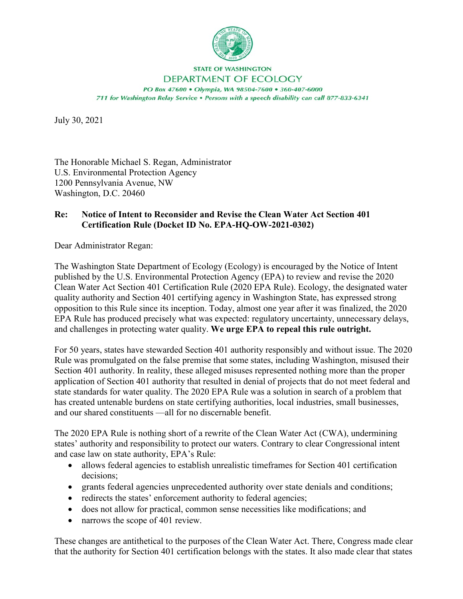

**STATE OF WASHINGTON** 

DEPARTMENT OF ECOLOGY PO Box 47600 . Olympia, WA 98504-7600 . 360-407-6000 711 for Washington Relay Service . Persons with a speech disability can call 877-833-6341

July 30, 2021

The Honorable Michael S. Regan, Administrator U.S. Environmental Protection Agency 1200 Pennsylvania Avenue, NW Washington, D.C. 20460

# **Re: Notice of Intent to Reconsider and Revise the Clean Water Act Section 401 Certification Rule (Docket ID No. EPA-HQ-OW-2021-0302)**

Dear Administrator Regan:

The Washington State Department of Ecology (Ecology) is encouraged by the Notice of Intent published by the U.S. Environmental Protection Agency (EPA) to review and revise the 2020 Clean Water Act Section 401 Certification Rule (2020 EPA Rule). Ecology, the designated water quality authority and Section 401 certifying agency in Washington State, has expressed strong opposition to this Rule since its inception. Today, almost one year after it was finalized, the 2020 EPA Rule has produced precisely what was expected: regulatory uncertainty, unnecessary delays, and challenges in protecting water quality. **We urge EPA to repeal this rule outright.**

For 50 years, states have stewarded Section 401 authority responsibly and without issue. The 2020 Rule was promulgated on the false premise that some states, including Washington, misused their Section 401 authority. In reality, these alleged misuses represented nothing more than the proper application of Section 401 authority that resulted in denial of projects that do not meet federal and state standards for water quality. The 2020 EPA Rule was a solution in search of a problem that has created untenable burdens on state certifying authorities, local industries, small businesses, and our shared constituents —all for no discernable benefit.

The 2020 EPA Rule is nothing short of a rewrite of the Clean Water Act (CWA), undermining states' authority and responsibility to protect our waters. Contrary to clear Congressional intent and case law on state authority, EPA's Rule:

- allows federal agencies to establish unrealistic timeframes for Section 401 certification decisions;
- grants federal agencies unprecedented authority over state denials and conditions;
- redirects the states' enforcement authority to federal agencies;
- does not allow for practical, common sense necessities like modifications; and
- narrows the scope of 401 review.

These changes are antithetical to the purposes of the Clean Water Act. There, Congress made clear that the authority for Section 401 certification belongs with the states. It also made clear that states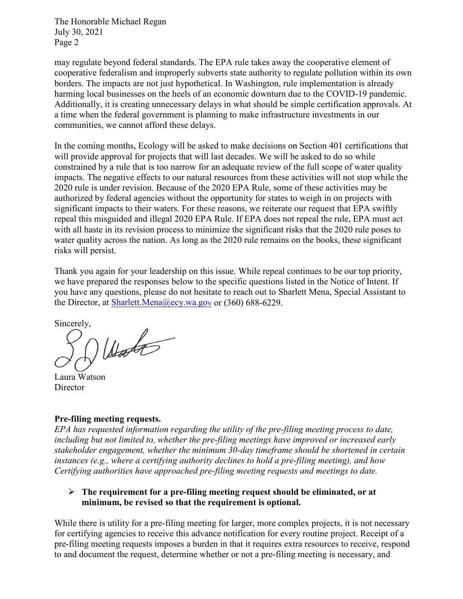may regulate beyond federal standards. The EPA rule takes away the cooperative element of cooperative federalism and improperly subverts state authority to regulate pollution within its own borders. The impacts are not just hypothetical. In Washington, rule implementation is already harming local businesses on the heels of an economic downturn due to the COVID-19 pandemic. Additionally, it is creating unnecessary delays in what should be simple certification approvals. At a time when the federal government is planning to make infrastructure investments in our communities, we cannot afford these delays.

In the coming months, Ecology will be asked to make decisions on Section 401 certifications that will provide approval for projects that will last decades. We will be asked to do so while constrained by a rule that is too narrow for an adequate review of the full scope of water quality impacts. The negative effects to our natural resources from these activities will not stop while the 2020 rule is under revision. Because of the 2020 EPA Rule, some of these activities may be authorized by federal agencies without the opportunity for states to weigh in on projects with significant impacts to their waters. For these reasons, we reiterate our request that EPA swiftly repeal this misguided and illegal 2020 EPA Rule. If EPA does not repeal the rule, EPA must act with all haste in its revision process to minimize the significant risks that the 2020 rule poses to water quality across the nation. As long as the 2020 rule remains on the books, these significant risks will persist.

Thank you again for your leadership on this issue. While repeal continues to be our top priority, we have prepared the responses below to the specific questions listed in the Notice of Intent. If you have any questions, please do not hesitate to reach out to Sharlett Mena, Special Assistant to the Director, at [Sharlett.Mena@ecy.wa.gov](mailto:Sharlett.Mena@ecy.wa.gov) or (360) 688-6229.

Sincerely,

 $U_{\text{tot}}$ 

Laura Watson Director

#### **Pre-filing meeting requests.**

*EPA has requested information regarding the utility of the pre-filing meeting process to date, including but not limited to, whether the pre-filing meetings have improved or increased early stakeholder engagement, whether the minimum 30-day timeframe should be shortened in certain instances (e.g., where a certifying authority declines to hold a pre-filing meeting), and how Certifying authorities have approached pre-filing meeting requests and meetings to date.*

# **The requirement for a pre-filing meeting request should be eliminated, or at minimum, be revised so that the requirement is optional.**

While there is utility for a pre-filing meeting for larger, more complex projects, it is not necessary for certifying agencies to receive this advance notification for every routine project. Receipt of a pre-filing meeting requests imposes a burden in that it requires extra resources to receive, respond to and document the request, determine whether or not a pre-filing meeting is necessary, and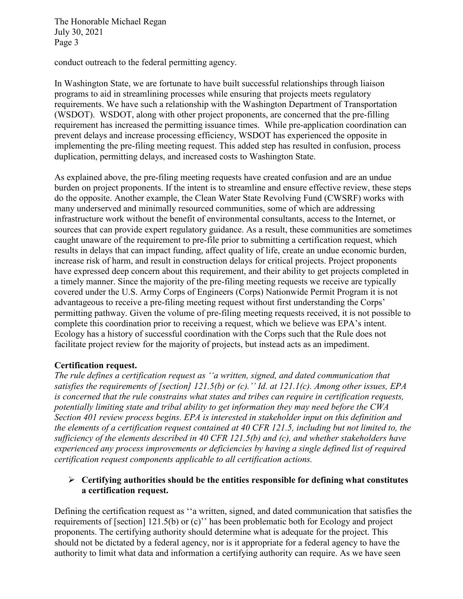conduct outreach to the federal permitting agency.

In Washington State, we are fortunate to have built successful relationships through liaison programs to aid in streamlining processes while ensuring that projects meets regulatory requirements. We have such a relationship with the Washington Department of Transportation (WSDOT). WSDOT, along with other project proponents, are concerned that the pre-filling requirement has increased the permitting issuance times. While pre-application coordination can prevent delays and increase processing efficiency, WSDOT has experienced the opposite in implementing the pre-filing meeting request. This added step has resulted in confusion, process duplication, permitting delays, and increased costs to Washington State.

As explained above, the pre-filing meeting requests have created confusion and are an undue burden on project proponents. If the intent is to streamline and ensure effective review, these steps do the opposite. Another example, the Clean Water State Revolving Fund (CWSRF) works with many underserved and minimally resourced communities, some of which are addressing infrastructure work without the benefit of environmental consultants, access to the Internet, or sources that can provide expert regulatory guidance. As a result, these communities are sometimes caught unaware of the requirement to pre-file prior to submitting a certification request, which results in delays that can impact funding, affect quality of life, create an undue economic burden, increase risk of harm, and result in construction delays for critical projects. Project proponents have expressed deep concern about this requirement, and their ability to get projects completed in a timely manner. Since the majority of the pre-filing meeting requests we receive are typically covered under the U.S. Army Corps of Engineers (Corps) Nationwide Permit Program it is not advantageous to receive a pre-filing meeting request without first understanding the Corps' permitting pathway. Given the volume of pre-filing meeting requests received, it is not possible to complete this coordination prior to receiving a request, which we believe was EPA's intent. Ecology has a history of successful coordination with the Corps such that the Rule does not facilitate project review for the majority of projects, but instead acts as an impediment.

#### **Certification request.**

*The rule defines a certification request as ''a written, signed, and dated communication that satisfies the requirements of [section] 121.5(b) or (c).'' Id. at 121.1(c). Among other issues, EPA is concerned that the rule constrains what states and tribes can require in certification requests, potentially limiting state and tribal ability to get information they may need before the CWA Section 401 review process begins. EPA is interested in stakeholder input on this definition and the elements of a certification request contained at 40 CFR 121.5, including but not limited to, the sufficiency of the elements described in 40 CFR 121.5(b) and (c), and whether stakeholders have experienced any process improvements or deficiencies by having a single defined list of required certification request components applicable to all certification actions.*

# **Certifying authorities should be the entities responsible for defining what constitutes a certification request.**

Defining the certification request as ''a written, signed, and dated communication that satisfies the requirements of [section] 121.5(b) or (c)'' has been problematic both for Ecology and project proponents. The certifying authority should determine what is adequate for the project. This should not be dictated by a federal agency, nor is it appropriate for a federal agency to have the authority to limit what data and information a certifying authority can require. As we have seen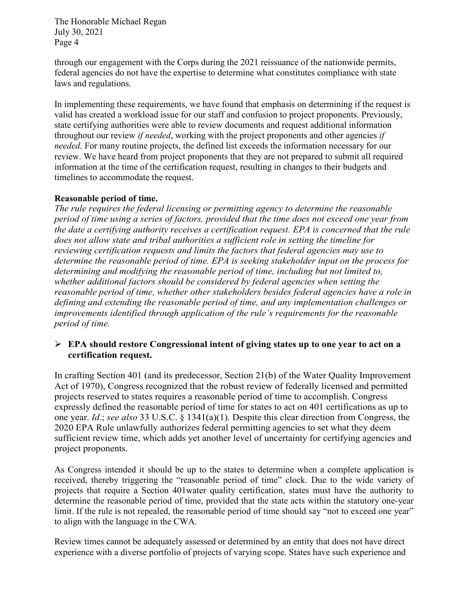through our engagement with the Corps during the 2021 reissuance of the nationwide permits, federal agencies do not have the expertise to determine what constitutes compliance with state laws and regulations.

In implementing these requirements, we have found that emphasis on determining if the request is valid has created a workload issue for our staff and confusion to project proponents. Previously, state certifying authorities were able to review documents and request additional information throughout our review *if needed*, working with the project proponents and other agencies *if needed*. For many routine projects, the defined list exceeds the information necessary for our review. We have heard from project proponents that they are not prepared to submit all required information at the time of the certification request, resulting in changes to their budgets and timelines to accommodate the request.

#### **Reasonable period of time.**

*The rule requires the federal licensing or permitting agency to determine the reasonable period of time using a series of factors, provided that the time does not exceed one year from the date a certifying authority receives a certification request. EPA is concerned that the rule does not allow state and tribal authorities a sufficient role in setting the timeline for reviewing certification requests and limits the factors that federal agencies may use to determine the reasonable period of time. EPA is seeking stakeholder input on the process for determining and modifying the reasonable period of time, including but not limited to, whether additional factors should be considered by federal agencies when setting the reasonable period of time, whether other stakeholders besides federal agencies have a role in defining and extending the reasonable period of time, and any implementation challenges or improvements identified through application of the rule's requirements for the reasonable period of time.*

### **EPA should restore Congressional intent of giving states up to one year to act on a certification request.**

In crafting Section 401 (and its predecessor, Section 21(b) of the Water Quality Improvement Act of 1970), Congress recognized that the robust review of federally licensed and permitted projects reserved to states requires a reasonable period of time to accomplish. Congress expressly defined the reasonable period of time for states to act on 401 certifications as up to one year. *Id*.; *see also* 33 U.S.C. § 1341(a)(1). Despite this clear direction from Congress, the 2020 EPA Rule unlawfully authorizes federal permitting agencies to set what they deem sufficient review time, which adds yet another level of uncertainty for certifying agencies and project proponents.

As Congress intended it should be up to the states to determine when a complete application is received, thereby triggering the "reasonable period of time" clock. Due to the wide variety of projects that require a Section 401water quality certification, states must have the authority to determine the reasonable period of time, provided that the state acts within the statutory one-year limit. If the rule is not repealed, the reasonable period of time should say "not to exceed one year" to align with the language in the CWA.

Review times cannot be adequately assessed or determined by an entity that does not have direct experience with a diverse portfolio of projects of varying scope. States have such experience and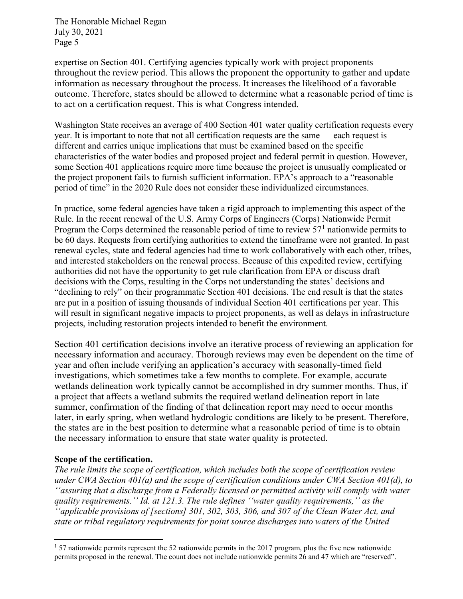expertise on Section 401. Certifying agencies typically work with project proponents throughout the review period. This allows the proponent the opportunity to gather and update information as necessary throughout the process. It increases the likelihood of a favorable outcome. Therefore, states should be allowed to determine what a reasonable period of time is to act on a certification request. This is what Congress intended.

Washington State receives an average of 400 Section 401 water quality certification requests every year. It is important to note that not all certification requests are the same — each request is different and carries unique implications that must be examined based on the specific characteristics of the water bodies and proposed project and federal permit in question. However, some Section 401 applications require more time because the project is unusually complicated or the project proponent fails to furnish sufficient information. EPA's approach to a "reasonable period of time" in the 2020 Rule does not consider these individualized circumstances.

In practice, some federal agencies have taken a rigid approach to implementing this aspect of the Rule. In the recent renewal of the U.S. Army Corps of Engineers (Corps) Nationwide Permit Program the Corps determined the reasonable period of time to review  $57<sup>1</sup>$  $57<sup>1</sup>$  $57<sup>1</sup>$  nationwide permits to be 60 days. Requests from certifying authorities to extend the timeframe were not granted. In past renewal cycles, state and federal agencies had time to work collaboratively with each other, tribes, and interested stakeholders on the renewal process. Because of this expedited review, certifying authorities did not have the opportunity to get rule clarification from EPA or discuss draft decisions with the Corps, resulting in the Corps not understanding the states' decisions and "declining to rely" on their programmatic Section 401 decisions. The end result is that the states are put in a position of issuing thousands of individual Section 401 certifications per year. This will result in significant negative impacts to project proponents, as well as delays in infrastructure projects, including restoration projects intended to benefit the environment.

Section 401 certification decisions involve an iterative process of reviewing an application for necessary information and accuracy. Thorough reviews may even be dependent on the time of year and often include verifying an application's accuracy with seasonally-timed field investigations, which sometimes take a few months to complete. For example, accurate wetlands delineation work typically cannot be accomplished in dry summer months. Thus, if a project that affects a wetland submits the required wetland delineation report in late summer, confirmation of the finding of that delineation report may need to occur months later, in early spring, when wetland hydrologic conditions are likely to be present. Therefore, the states are in the best position to determine what a reasonable period of time is to obtain the necessary information to ensure that state water quality is protected.

#### **Scope of the certification.**

*The rule limits the scope of certification, which includes both the scope of certification review under CWA Section 401(a) and the scope of certification conditions under CWA Section 401(d), to ''assuring that a discharge from a Federally licensed or permitted activity will comply with water quality requirements.'' Id. at 121.3. The rule defines ''water quality requirements,'' as the ''applicable provisions of [sections] 301, 302, 303, 306, and 307 of the Clean Water Act, and state or tribal regulatory requirements for point source discharges into waters of the United* 

<span id="page-4-0"></span> <sup>1</sup> 57 nationwide permits represent the 52 nationwide permits in the 2017 program, plus the five new nationwide permits proposed in the renewal. The count does not include nationwide permits 26 and 47 which are "reserved".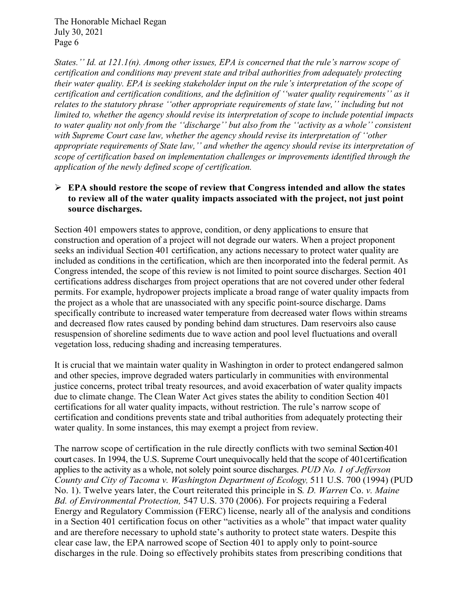*States.'' Id. at 121.1(n). Among other issues, EPA is concerned that the rule's narrow scope of certification and conditions may prevent state and tribal authorities from adequately protecting their water quality. EPA is seeking stakeholder input on the rule's interpretation of the scope of certification and certification conditions, and the definition of ''water quality requirements'' as it relates to the statutory phrase ''other appropriate requirements of state law,'' including but not limited to, whether the agency should revise its interpretation of scope to include potential impacts to water quality not only from the ''discharge'' but also from the ''activity as a whole'' consistent with Supreme Court case law, whether the agency should revise its interpretation of ''other appropriate requirements of State law,'' and whether the agency should revise its interpretation of scope of certification based on implementation challenges or improvements identified through the application of the newly defined scope of certification.*

# **EPA should restore the scope of review that Congress intended and allow the states to review all of the water quality impacts associated with the project, not just point source discharges.**

Section 401 empowers states to approve, condition, or deny applications to ensure that construction and operation of a project will not degrade our waters. When a project proponent seeks an individual [Section](https://ecology.wa.gov/Regulations-Permits/Permits-certifications/401-Water-quality-certification/non-hydropower-401-certifications) 401 certification, any actions necessary to protect water quality are included as conditions in the certification, which are then incorporated into the federal permit. As Congress intended, the scope of this review is not limited to point source discharges. Section 401 certifications address discharges from project operations that are not covered under other federal permits. For example, hydropower projects implicate a broad range of water quality impacts from the project as a whole that are unassociated with any specific point-source discharge. Dams specifically contribute to increased water temperature from decreased water flows within streams and decreased flow rates caused by ponding behind dam structures. Dam reservoirs also cause resuspension of shoreline sediments due to wave action and pool level fluctuations and overall vegetation loss, reducing shading and increasing temperatures.

It is crucial that we maintain water quality in Washington in order to protect endangered salmon and other species, improve degraded waters particularly in communities with environmental justice concerns, protect tribal treaty resources, and avoid exacerbation of water quality impacts due to climate change. The Clean Water Act gives states the ability to condition Section 401 certifications for all water quality impacts, without restriction. The rule's narrow scope of certification and conditions prevents state and tribal authorities from adequately protecting their water quality. In some instances, this may exempt a project from review.

The narrow scope of certification in the rule directly conflicts with two seminal Section 401 court cases. In 1994, the U.S. Supreme Court unequivocally held that the scope of 401certification applies to the activity as a whole, not solely point source discharges. *PUD No. 1 of Jefferson County and City of Tacoma v. Washington Department of Ecology,* 511 U.S. 700 (1994) (PUD No. 1). Twelve years later, the Court reiterated this principle in S*. D. Warren* Co. *v. Maine Bd. of Environmental Protection,* 547 U.S. 370 (2006). For projects requiring a Federal Energy and Regulatory Commission (FERC) license, nearly all of the analysis and conditions in a Section 401 certification focus on other "activities as a whole" that impact water quality and are therefore necessary to uphold state's authority to protect state waters. Despite this clear case law, the EPA narrowed scope of Section 401 to apply only to point-source discharges in the rule. Doing so effectively prohibits states from prescribing conditions that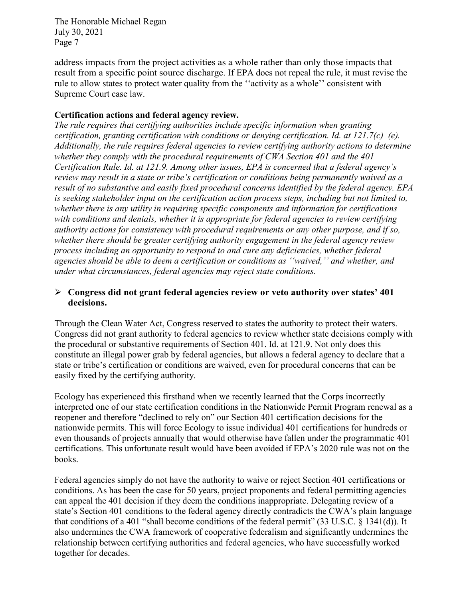address impacts from the project activities as a whole rather than only those impacts that result from a specific point source discharge. If EPA does not repeal the rule, it must revise the rule to allow states to protect water quality from the ''activity as a whole'' consistent with Supreme Court case law.

# **Certification actions and federal agency review.**

*The rule requires that certifying authorities include specific information when granting certification, granting certification with conditions or denying certification. Id. at 121.7(c)–(e). Additionally, the rule requires federal agencies to review certifying authority actions to determine whether they comply with the procedural requirements of CWA Section 401 and the 401 Certification Rule. Id. at 121.9. Among other issues, EPA is concerned that a federal agency's review may result in a state or tribe's certification or conditions being permanently waived as a result of no substantive and easily fixed procedural concerns identified by the federal agency. EPA is seeking stakeholder input on the certification action process steps, including but not limited to, whether there is any utility in requiring specific components and information for certifications with conditions and denials, whether it is appropriate for federal agencies to review certifying authority actions for consistency with procedural requirements or any other purpose, and if so, whether there should be greater certifying authority engagement in the federal agency review process including an opportunity to respond to and cure any deficiencies, whether federal agencies should be able to deem a certification or conditions as ''waived,'' and whether, and under what circumstances, federal agencies may reject state conditions.*

# **Congress did not grant federal agencies review or veto authority over states' 401 decisions.**

Through the Clean Water Act, Congress reserved to states the authority to protect their waters. Congress did not grant authority to federal agencies to review whether state decisions comply with the procedural or substantive requirements of Section 401. Id. at 121.9. Not only does this constitute an illegal power grab by federal agencies, but allows a federal agency to declare that a state or tribe's certification or conditions are waived, even for procedural concerns that can be easily fixed by the certifying authority.

Ecology has experienced this firsthand when we recently learned that the Corps incorrectly interpreted one of our state certification conditions in the Nationwide Permit Program renewal as a reopener and therefore "declined to rely on" our Section 401 certification decisions for the nationwide permits. This will force Ecology to issue individual 401 certifications for hundreds or even thousands of projects annually that would otherwise have fallen under the programmatic 401 certifications. This unfortunate result would have been avoided if EPA's 2020 rule was not on the books.

Federal agencies simply do not have the authority to waive or reject Section 401 certifications or conditions. As has been the case for 50 years, project proponents and federal permitting agencies can appeal the 401 decision if they deem the conditions inappropriate. Delegating review of a state's Section 401 conditions to the federal agency directly contradicts the CWA's plain language that conditions of a 401 "shall become conditions of the federal permit" (33 U.S.C. § 1341(d)). It also undermines the CWA framework of cooperative federalism and significantly undermines the relationship between certifying authorities and federal agencies, who have successfully worked together for decades.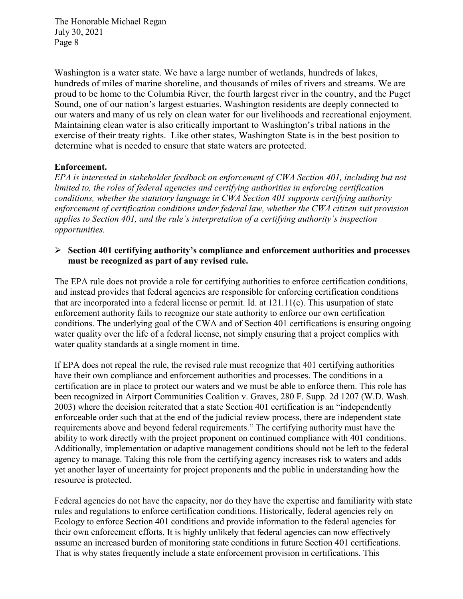Washington is a water state. We have a large number of wetlands, hundreds of lakes, hundreds of miles of marine shoreline, and thousands of miles of rivers and streams. We are proud to be home to the Columbia River, the fourth largest river in the country, and the Puget Sound, one of our nation's largest estuaries. Washington residents are deeply connected to our waters and many of us rely on clean water for our livelihoods and recreational enjoyment. Maintaining clean water is also critically important to Washington's tribal nations in the exercise of their treaty rights. Like other states, Washington State is in the best position to determine what is needed to ensure that state waters are protected.

### **Enforcement.**

*EPA is interested in stakeholder feedback on enforcement of CWA Section 401, including but not limited to, the roles of federal agencies and certifying authorities in enforcing certification conditions, whether the statutory language in CWA Section 401 supports certifying authority enforcement of certification conditions under federal law, whether the CWA citizen suit provision applies to Section 401, and the rule's interpretation of a certifying authority's inspection opportunities.*

#### **Section 401 certifying authority's compliance and enforcement authorities and processes must be recognized as part of any revised rule.**

The EPA rule does not provide a role for certifying authorities to enforce certification conditions, and instead provides that federal agencies are responsible for enforcing certification conditions that are incorporated into a federal license or permit. Id. at 121.11(c). This usurpation of state enforcement authority fails to recognize our state authority to enforce our own certification conditions. The underlying goal of the CWA and of Section 401 certifications is ensuring ongoing water quality over the life of a federal license, not simply ensuring that a project complies with water quality standards at a single moment in time.

If EPA does not repeal the rule, the revised rule must recognize that 401 certifying authorities have their own compliance and enforcement authorities and processes. The conditions in a certification are in place to protect our waters and we must be able to enforce them. This role has been recognized in Airport Communities Coalition v. Graves, 280 F. Supp. 2d 1207 (W.D. Wash. 2003) where the decision reiterated that a state Section 401 certification is an "independently enforceable order such that at the end of the judicial review process, there are independent state requirements above and beyond federal requirements." The certifying authority must have the ability to work directly with the project proponent on continued compliance with 401 conditions. Additionally, implementation or adaptive management conditions should not be left to the federal agency to manage. Taking this role from the certifying agency increases risk to waters and adds yet another layer of uncertainty for project proponents and the public in understanding how the resource is protected.

Federal agencies do not have the capacity, nor do they have the expertise and familiarity with state rules and regulations to enforce certification conditions. Historically, federal agencies rely on Ecology to enforce Section 401 conditions and provide information to the federal agencies for their own enforcement efforts. It is highly unlikely that federal agencies can now effectively assume an increased burden of monitoring state conditions in future Section 401 certifications. That is why states frequently include a state enforcement provision in certifications. This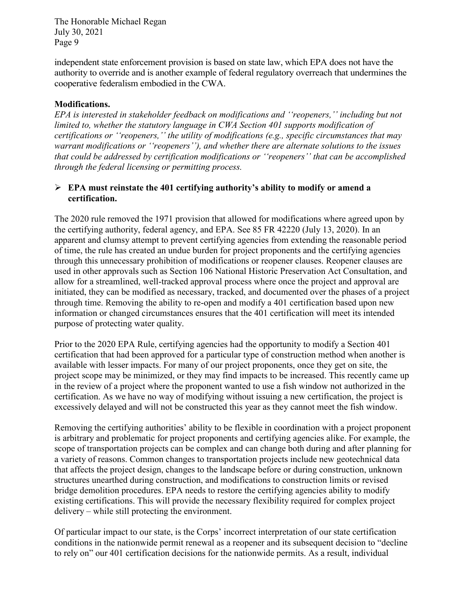independent state enforcement provision is based on state law, which EPA does not have the authority to override and is another example of federal regulatory overreach that undermines the cooperative federalism embodied in the CWA.

# **Modifications.**

*EPA is interested in stakeholder feedback on modifications and ''reopeners,'' including but not limited to, whether the statutory language in CWA Section 401 supports modification of certifications or ''reopeners,'' the utility of modifications (e.g., specific circumstances that may warrant modifications or ''reopeners''), and whether there are alternate solutions to the issues that could be addressed by certification modifications or ''reopeners'' that can be accomplished through the federal licensing or permitting process.*

# **EPA must reinstate the 401 certifying authority's ability to modify or amend a certification.**

The 2020 rule removed the 1971 provision that allowed for modifications where agreed upon by the certifying authority, federal agency, and EPA. See 85 FR 42220 (July 13, 2020). In an apparent and clumsy attempt to prevent certifying agencies from extending the reasonable period of time, the rule has created an undue burden for project proponents and the certifying agencies through this unnecessary prohibition of modifications or reopener clauses. Reopener clauses are used in other approvals such as Section 106 National Historic Preservation Act Consultation, and allow for a streamlined, well-tracked approval process where once the project and approval are initiated, they can be modified as necessary, tracked, and documented over the phases of a project through time. Removing the ability to re-open and modify a 401 certification based upon new information or changed circumstances ensures that the 401 certification will meet its intended purpose of protecting water quality.

Prior to the 2020 EPA Rule, certifying agencies had the opportunity to modify a Section 401 certification that had been approved for a particular type of construction method when another is available with lesser impacts. For many of our project proponents, once they get on site, the project scope may be minimized, or they may find impacts to be increased. This recently came up in the review of a project where the proponent wanted to use a fish window not authorized in the certification. As we have no way of modifying without issuing a new certification, the project is excessively delayed and will not be constructed this year as they cannot meet the fish window.

Removing the certifying authorities' ability to be flexible in coordination with a project proponent is arbitrary and problematic for project proponents and certifying agencies alike. For example, the scope of transportation projects can be complex and can change both during and after planning for a variety of reasons. Common changes to transportation projects include new geotechnical data that affects the project design, changes to the landscape before or during construction, unknown structures unearthed during construction, and modifications to construction limits or revised bridge demolition procedures. EPA needs to restore the certifying agencies ability to modify existing certifications. This will provide the necessary flexibility required for complex project delivery – while still protecting the environment.

Of particular impact to our state, is the Corps' incorrect interpretation of our state certification conditions in the nationwide permit renewal as a reopener and its subsequent decision to "decline to rely on" our 401 certification decisions for the nationwide permits. As a result, individual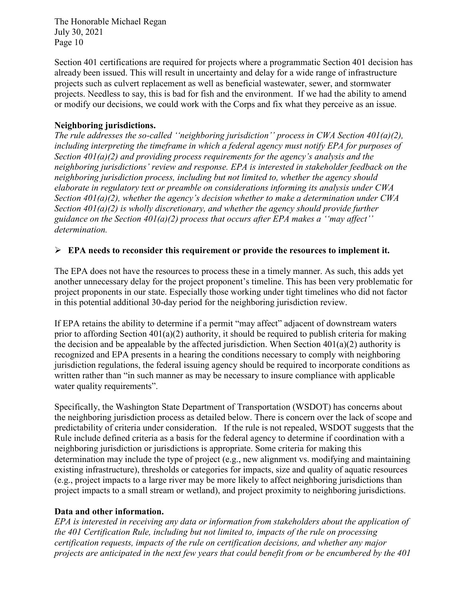Section 401 certifications are required for projects where a programmatic Section 401 decision has already been issued. This will result in uncertainty and delay for a wide range of infrastructure projects such as culvert replacement as well as beneficial wastewater, sewer, and stormwater projects. Needless to say, this is bad for fish and the environment. If we had the ability to amend or modify our decisions, we could work with the Corps and fix what they perceive as an issue.

### **Neighboring jurisdictions.**

*The rule addresses the so-called ''neighboring jurisdiction'' process in CWA Section 401(a)(2), including interpreting the timeframe in which a federal agency must notify EPA for purposes of Section 401(a)(2) and providing process requirements for the agency's analysis and the neighboring jurisdictions' review and response. EPA is interested in stakeholder feedback on the neighboring jurisdiction process, including but not limited to, whether the agency should elaborate in regulatory text or preamble on considerations informing its analysis under CWA Section 401(a)(2), whether the agency's decision whether to make a determination under CWA Section 401(a)(2) is wholly discretionary, and whether the agency should provide further guidance on the Section 401(a)(2) process that occurs after EPA makes a ''may affect'' determination.*

### **EPA needs to reconsider this requirement or provide the resources to implement it.**

The EPA does not have the resources to process these in a timely manner. As such, this adds yet another unnecessary delay for the project proponent's timeline. This has been very problematic for project proponents in our state. Especially those working under tight timelines who did not factor in this potential additional 30-day period for the neighboring jurisdiction review.

If EPA retains the ability to determine if a permit "may affect" adjacent of downstream waters prior to affording Section  $401(a)(2)$  authority, it should be required to publish criteria for making the decision and be appealable by the affected jurisdiction. When Section  $401(a)(2)$  authority is recognized and EPA presents in a hearing the conditions necessary to comply with neighboring jurisdiction regulations, the federal issuing agency should be required to incorporate conditions as written rather than "in such manner as may be necessary to insure compliance with applicable water quality requirements".

Specifically, the Washington State Department of Transportation (WSDOT) has concerns about the neighboring jurisdiction process as detailed below. There is concern over the lack of scope and predictability of criteria under consideration. If the rule is not repealed, WSDOT suggests that the Rule include defined criteria as a basis for the federal agency to determine if coordination with a neighboring jurisdiction or jurisdictions is appropriate. Some criteria for making this determination may include the type of project (e.g., new alignment vs. modifying and maintaining existing infrastructure), thresholds or categories for impacts, size and quality of aquatic resources (e.g., project impacts to a large river may be more likely to affect neighboring jurisdictions than project impacts to a small stream or wetland), and project proximity to neighboring jurisdictions.

# **Data and other information.**

*EPA is interested in receiving any data or information from stakeholders about the application of the 401 Certification Rule, including but not limited to, impacts of the rule on processing certification requests, impacts of the rule on certification decisions, and whether any major projects are anticipated in the next few years that could benefit from or be encumbered by the 401*